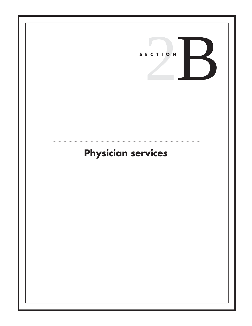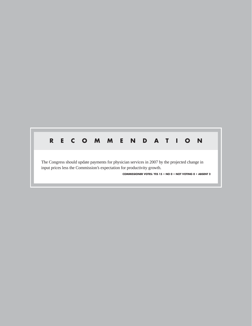## **RECOMMENDATION**

The Congress should update payments for physician services in 2007 by the projected change in input prices less the Commission's expectation for productivity growth.

**COMMISSIONER VOTES: YES 15 • NO 0 • NOT VOTING 0 • ABSENT 2**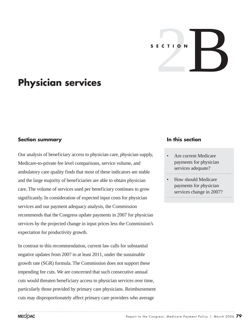# SECTION

# **Physician services**

### **Section summary**

Our analysis of beneficiary access to physician care, physician supply, Medicare-to-private fee level comparisons, service volume, and ambulatory care quality finds that most of these indicators are stable and the large majority of beneficiaries are able to obtain physician care. The volume of services used per beneficiary continues to grow significantly. In consideration of expected input costs for physician services and our payment adequacy analysis, the Commission recommends that the Congress update payments in 2007 for physician services by the projected change in input prices less the Commission's expectation for productivity growth.

In contrast to this recommendation, current law calls for substantial negative updates from 2007 to at least 2011, under the sustainable growth rate (SGR) formula. The Commission does not support these impending fee cuts. We are concerned that such consecutive annual cuts would threaten beneficiary access to physician services over time, particularly those provided by primary care physicians. Reimbursement cuts may disproportionately affect primary care providers who average

### **In this section**

- Are current Medicare payments for physician services adequate?
- How should Medicare payments for physician services change in 2007?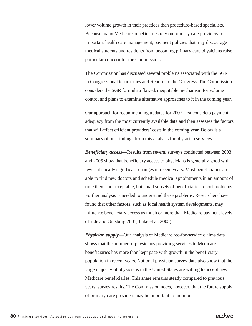lower volume growth in their practices than procedure-based specialists. Because many Medicare beneficiaries rely on primary care providers for important health care management, payment policies that may discourage medical students and residents from becoming primary care physicians raise particular concern for the Commission.

The Commission has discussed several problems associated with the SGR in Congressional testimonies and Reports to the Congress. The Commission considers the SGR formula a flawed, inequitable mechanism for volume control and plans to examine alternative approaches to it in the coming year.

Our approach for recommending updates for 2007 first considers payment adequacy from the most currently available data and then assesses the factors that will affect efficient providers' costs in the coming year. Below is a summary of our findings from this analysis for physician services.

*Beneficiary access*—Results from several surveys conducted between 2003 and 2005 show that beneficiary access to physicians is generally good with few statistically significant changes in recent years. Most beneficiaries are able to find new doctors and schedule medical appointments in an amount of time they find acceptable, but small subsets of beneficiaries report problems. Further analysis is needed to understand these problems. Researchers have found that other factors, such as local health system developments, may influence beneficiary access as much or more than Medicare payment levels (Trude and Ginsburg 2005, Lake et al. 2005).

*Physician supply*—Our analysis of Medicare fee-for-service claims data shows that the number of physicians providing services to Medicare beneficiaries has more than kept pace with growth in the beneficiary population in recent years. National physician survey data also show that the large majority of physicians in the United States are willing to accept new Medicare beneficiaries. This share remains steady compared to previous years' survey results. The Commission notes, however, that the future supply of primary care providers may be important to monitor.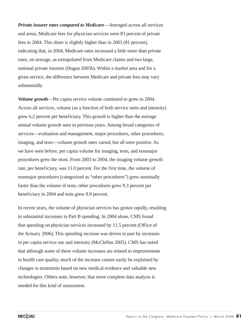*Private insurer rates compared to Medicare*—Averaged across all services and areas, Medicare fees for physician services were 83 percent of private fees in 2004. This share is slightly higher than in 2003 (81 percent), indicating that, in 2004, Medicare rates increased a little more than private rates, on average, as extrapolated from Medicare claims and two large, national private insurers (Hogan 2005b). Within a market area and for a given service, the difference between Medicare and private fees may vary substantially.

*Volume growth*—Per capita service volume continued to grow in 2004. Across all services, volume (as a function of both service units and intensity) grew 6.2 percent per beneficiary. This growth is higher than the average annual volume growth seen in previous years. Among broad categories of services—evaluation and management, major procedures, other procedures, imaging, and tests—volume growth rates varied, but all were positive. As we have seen before, per capita volume for imaging, tests, and nonmajor procedures grew the most. From 2003 to 2004, the imaging volume growth rate, per beneficiary, was 11.0 percent. For the first time, the volume of nonmajor procedures (categorized as "other procedures") grew nominally faster than the volume of tests; other procedures grew 9.3 percent per beneficiary in 2004 and tests grew 8.9 percent.

In recent years, the volume of physician services has grown rapidly, resulting in substantial increases in Part B spending. In 2004 alone, CMS found that spending on physician services increased by 11.5 percent (Office of the Actuary 2006). This spending increase was driven in part by increases in per capita service use and intensity (McClellan 2005). CMS has noted that although some of these volume increases are related to improvements in health care quality, much of the increase cannot easily be explained by changes in treatments based on new medical evidence and valuable new technologies. Others note, however, that more complete data analysis is needed for this kind of assessment.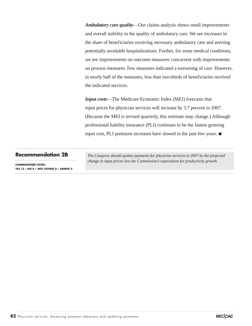*Ambulatory care quality*—Our claims analysis shows small improvements and overall stability in the quality of ambulatory care. We see increases in the share of beneficiaries receiving necessary ambulatory care and averting potentially avoidable hospitalizations. Further, for some medical conditions, we see improvements on outcome measures concurrent with improvements on process measures. Few measures indicated a worsening of care. However, in nearly half of the measures, less than two-thirds of beneficiaries received the indicated services.

*Input costs*—The Medicare Economic Index (MEI) forecasts that input prices for physician services will increase by 3.7 percent in 2007. (Because the MEI is revised quarterly, this estimate may change.) Although professional liability insurance (PLI) continues to be the fastest growing input cost, PLI premium increases have slowed in the past few years.  $\blacksquare$ 

**COMMISSIONER VOTES: YES 15 • NO 0 • NOT VOTING 0 • ABSENT 2**

**Recommendation 2B** *The Congress should update payments for physician services in 2007 by the projected change in input prices less the Commission's expectation for productivity growth.*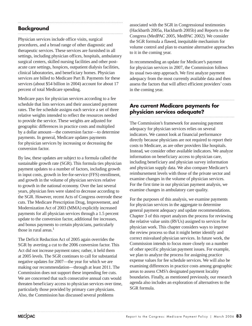# **Background**

Physician services include office visits, surgical procedures, and a broad range of other diagnostic and therapeutic services. These services are furnished in all settings, including physician offices, hospitals, ambulatory surgical centers, skilled nursing facilities and other postacute care settings, hospices, outpatient dialysis facilities, clinical laboratories, and beneficiary homes. Physician services are billed to Medicare Part B. Payments for these services (about \$54 billion in 2004) account for about 17 percent of total Medicare spending.

Medicare pays for physician services according to a fee schedule that lists services and their associated payment rates. The fee schedule assigns each service a set of three relative weights intended to reflect the resources needed to provide the service. These weights are adjusted for geographic differences in practice costs and multiplied by a dollar amount—the conversion factor—to determine payments. In general, Medicare updates payments for physician services by increasing or decreasing the conversion factor.

By law, these updates are subject to a formula called the sustainable growth rate (SGR). This formula ties physician payment updates to a number of factors, including growth in input costs, growth in fee-for-service (FFS) enrollment, and growth in the volume of physician services relative to growth in the national economy. Over the last several years, physician fees were slated to decrease according to the SGR. However, recent Acts of Congress overrode these cuts. The Medicare Prescription Drug, Improvement, and Modernization Act of 2003 (MMA) explicitly increased payments for all physician services through a 1.5 percent update to the conversion factor, additional fee increases, and bonus payments to certain physicians, particularly those in rural areas. $<sup>1</sup>$ </sup>

The Deficit Reduction Act of 2005 again overrides the SGR by averting a cut to the 2006 conversion factor. This Act did not increase payment rates; rather, it held them at 2005 levels. The SGR continues to call for substantial negative updates for 2007—the year for which we are making our recommendation—through at least 2011. The Commission does not support these impending fee cuts. We are concerned that such consecutive annual cuts would threaten beneficiary access to physician services over time, particularly those provided by primary care physicians. Also, the Commission has discussed several problems

associated with the SGR in Congressional testimonies (Hackbarth 2005a, Hackbarth 2005b) and Reports to the Congress (MedPAC 2005, MedPAC 2002). We consider the SGR formula a flawed, inequitable mechanism for volume control and plan to examine alternative approaches to it in the coming year.

In recommending an update for Medicare's payment for physician services in 2007, the Commission follows its usual two-step approach. We first analyze payment adequacy from the most currently available data and then assess the factors that will affect efficient providers' costs in the coming year.

### **Are current Medicare payments for physician services adequate?**

The Commission's framework for assessing payment adequacy for physician services relies on several indicators. We cannot look at financial performance directly because physicians are not required to report their costs to Medicare, as are other providers like hospitals. Instead, we consider other available indicators. We analyze information on beneficiary access to physician care, including beneficiary and physician survey information and physician supply data. We also compare Medicare's reimbursement levels with those of the private sector and examine changes in the volume of physician services. For the first time in our physician payment analysis, we examine changes in ambulatory care quality.

For the purposes of this analysis, we examine payments for physician services in the aggregate to determine general payment adequacy and update recommendations. Chapter 3 of this report analyzes the process for reviewing the relative value units (RVUs) assigned to services for physician work. This chapter considers ways to improve the review process so that it might better identify and correct misvalued physician services. In future work, the Commission intends to focus more closely on a number of other specific physician payment issues. For example, we plan to analyze the process for assigning practice expense values for fee schedule services. We will also be examining differences in practice costs among geographic areas to assess CMS's designated payment locality boundaries. Finally, as mentioned previously, our research agenda also includes an exploration of alternatives to the SGR formula.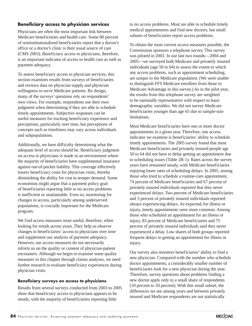### **Beneficiary access to physician services**

Physicians are often the most important link between Medicare beneficiaries and health care. Some 80 percent of noninstitutionalized beneficiaries report that a doctor's office or a doctor's clinic is their usual source of care (CMS 2003). Beneficiary access to physicians, therefore, is an important indicator of access to health care as well as payment adequacy.

To assess beneficiary access to physician services, this section examines results from surveys of beneficiaries and reviews data on physician supply and physician willingness to serve Medicare patients. By design, many of the surveys' questions rely on respondents' own views. For example, respondents use their own judgment when determining if they are able to schedule timely appointments. Subjective responses can be useful measures for tracking beneficiary experience and perceptions, particularly over time, but perceptions of concepts such as timeliness may vary across individuals and subpopulations.

Additionally, we have difficulty determining what the adequate level of access should be. Beneficiary judgment on access to physicians is made in an environment where the majority of beneficiaries have supplemental insurance against out-of-pocket liability. This coverage effectively lowers beneficiary costs for physician visits, thereby diminishing the ability for cost to temper demand. Some economists might argue that a payment policy goal of beneficiaries reporting little to no access problems is inefficient or unattainable. Even so, monitoring for changes in access, particularly among underserved populations, is crucially important for the Medicare program.

We find access measures most useful, therefore, when looking for trends across years. They help us observe changes in beneficiaries' access to physicians over time and supplement our analysis of payment adequacy. However, our access measures do not necessarily inform us on the quality or content of physician-patient encounters. Although we begin to examine some quality measures in this chapter through claims analyses, we need further research to evaluate beneficiary experiences during physician visits.

### **Beneficiary surveys on access to physicians**

Results from several surveys conducted from 2003 to 2005 show that beneficiary access to physicians appears to be steady, with the majority of beneficiaries reporting little

to no access problems. Most are able to schedule timely medical appointments and find new doctors, but small subsets of beneficiaries report access problems.

To obtain the most current access measures possible, the Commission sponsors a telephone survey. This survey was piloted in 2003. In our last two rounds—2004 and 2005—we surveyed both Medicare and privately insured individuals (age 50 to 64) to assess the extent to which any access problems, such as appointment scheduling, are unique to the Medicare population. (We were unable to distinguish FFS Medicare enrollees from those in Medicare Advantage in this survey.) As in the pilot year, the results from this telephone survey are weighted to be nationally representative with respect to basic demographic variables. We did not survey Medicare beneficiaries younger than age 65 due to sample-size limitations.

Most Medicare beneficiaries have one or more doctor appointments in a given year. Therefore, one access indicator we examine is beneficiaries' ability to schedule timely appointments. The 2005 survey found that most Medicare beneficiaries and privately insured people age 50 to 64 did not have to delay getting an appointment due to scheduling issues (Table 2B-1). Rates across the survey years have remained steady, with Medicare beneficiaries enjoying lower rates of scheduling delays. In 2005, among those who tried to schedule a routine-care appointment, 74 percent of Medicare beneficiaries and 67 percent of privately insured individuals reported that they never experienced delays. Two percent of Medicare beneficiaries and 3 percent of privately insured individuals reported always experiencing delays. As expected, for illness or injury, timely appointments were more common. Among those who scheduled an appointment for an illness or injury, 83 percent of Medicare beneficiaries and 75 percent of privately insured individuals said they never experienced a delay. Low shares of both groups reported frequent delays in getting an appointment for illness or injury.

Our survey also monitors beneficiaries' ability to find a new physician. Compared with the number who schedule doctor appointments, a considerably smaller number of beneficiaries look for a new physician during the year. Therefore, survey questions about problems finding a new doctor apply only to a small share of respondents (10 percent to 20 percent). With this small subset, the differences we see among years and between privately insured and Medicare respondents are not statistically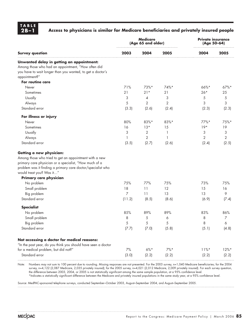**TABLE**

### Access to physicians is similar for Medicare beneficiaries and privately insured people

| 2003<br>2005<br>2004<br>2005<br>2004<br><b>Survey question</b><br>Unwanted delay in getting an appointment:<br>Among those who had an appointment, "How often did<br>you have to wait longer than you wanted, to get a doctor's<br>appointment?"<br>For routine care<br>71%<br>73%*<br>74%*<br>$66\%$ *<br>$67\%$ *<br>Never<br>21<br>$21*$<br>$26*$<br>25<br>Sometimes<br>21<br>3<br>Usually<br>3<br>5<br>5<br>4<br>5<br>$\overline{2}$<br>$\overline{2}$<br>3<br>3<br>Always<br>Standard error<br>(3.3)<br>(2.6)<br>(2.4)<br>(2.3)<br>(2.3)<br>For illness or injury<br>80%<br>83%*<br>83%*<br>$77\%$ *<br>75%*<br>Never<br>$19*$<br>16<br>$13*$<br>15<br>19<br>Sometimes<br>3<br>Usually<br>2<br>3<br>3<br>1<br>$\overline{2}$<br>2<br>$\overline{2}$<br>Always<br>$\mathbf{1}$<br>1<br>Standard error<br>(3.5)<br>(2.7)<br>(2.6)<br>(2.5)<br>(2.4)<br>Getting a new physician:<br>Among those who tried to get an appointment with a new<br>primary care physician or a specialist, "How much of a<br>problem was it finding a primary care doctor/specialist who<br>would treat you? Was it"<br>Primary care physician<br>75%<br>73%<br>75%<br>No problem<br>77%<br>75%<br>18<br>12<br>15<br>Small problem<br>11<br>16<br>$\overline{7}$<br>11<br>13<br>9<br>Big problem<br>13<br>Standard error<br>(8.6)<br>(7.4)<br>(11.2)<br>(8.5)<br>(6.9)<br><b>Specialist</b><br>85%<br>83%<br>No problem<br>89%<br>89%<br>86%<br>5<br>8<br>Small problem<br>8<br>6<br>7<br>5<br>5<br>$\sqrt{5}$<br>8<br>$\boldsymbol{6}$<br>Big problem<br>Standard error<br>(7.7)<br>(7.0)<br>(5.8)<br>(5.1)<br>(4.8)<br>Not accessing a doctor for medical reasons:<br>"In the past year, do you think you should have seen a doctor<br>7%<br>$6\%*$<br>$7\%$ *<br>for a medical problem, but did not?"<br>$11\%$ *<br>$12\%*$ | <b>Medicare</b><br>(Age 65 and older) |  |  | <b>Private insurance</b><br>(Age 50-64) |  |
|--------------------------------------------------------------------------------------------------------------------------------------------------------------------------------------------------------------------------------------------------------------------------------------------------------------------------------------------------------------------------------------------------------------------------------------------------------------------------------------------------------------------------------------------------------------------------------------------------------------------------------------------------------------------------------------------------------------------------------------------------------------------------------------------------------------------------------------------------------------------------------------------------------------------------------------------------------------------------------------------------------------------------------------------------------------------------------------------------------------------------------------------------------------------------------------------------------------------------------------------------------------------------------------------------------------------------------------------------------------------------------------------------------------------------------------------------------------------------------------------------------------------------------------------------------------------------------------------------------------------------------------------------------------------------------------------------------------------------------------------------------------------------------------------------------------|---------------------------------------|--|--|-----------------------------------------|--|
|                                                                                                                                                                                                                                                                                                                                                                                                                                                                                                                                                                                                                                                                                                                                                                                                                                                                                                                                                                                                                                                                                                                                                                                                                                                                                                                                                                                                                                                                                                                                                                                                                                                                                                                                                                                                              |                                       |  |  |                                         |  |
|                                                                                                                                                                                                                                                                                                                                                                                                                                                                                                                                                                                                                                                                                                                                                                                                                                                                                                                                                                                                                                                                                                                                                                                                                                                                                                                                                                                                                                                                                                                                                                                                                                                                                                                                                                                                              |                                       |  |  |                                         |  |
|                                                                                                                                                                                                                                                                                                                                                                                                                                                                                                                                                                                                                                                                                                                                                                                                                                                                                                                                                                                                                                                                                                                                                                                                                                                                                                                                                                                                                                                                                                                                                                                                                                                                                                                                                                                                              |                                       |  |  |                                         |  |
|                                                                                                                                                                                                                                                                                                                                                                                                                                                                                                                                                                                                                                                                                                                                                                                                                                                                                                                                                                                                                                                                                                                                                                                                                                                                                                                                                                                                                                                                                                                                                                                                                                                                                                                                                                                                              |                                       |  |  |                                         |  |
|                                                                                                                                                                                                                                                                                                                                                                                                                                                                                                                                                                                                                                                                                                                                                                                                                                                                                                                                                                                                                                                                                                                                                                                                                                                                                                                                                                                                                                                                                                                                                                                                                                                                                                                                                                                                              |                                       |  |  |                                         |  |
|                                                                                                                                                                                                                                                                                                                                                                                                                                                                                                                                                                                                                                                                                                                                                                                                                                                                                                                                                                                                                                                                                                                                                                                                                                                                                                                                                                                                                                                                                                                                                                                                                                                                                                                                                                                                              |                                       |  |  |                                         |  |
|                                                                                                                                                                                                                                                                                                                                                                                                                                                                                                                                                                                                                                                                                                                                                                                                                                                                                                                                                                                                                                                                                                                                                                                                                                                                                                                                                                                                                                                                                                                                                                                                                                                                                                                                                                                                              |                                       |  |  |                                         |  |
|                                                                                                                                                                                                                                                                                                                                                                                                                                                                                                                                                                                                                                                                                                                                                                                                                                                                                                                                                                                                                                                                                                                                                                                                                                                                                                                                                                                                                                                                                                                                                                                                                                                                                                                                                                                                              |                                       |  |  |                                         |  |
|                                                                                                                                                                                                                                                                                                                                                                                                                                                                                                                                                                                                                                                                                                                                                                                                                                                                                                                                                                                                                                                                                                                                                                                                                                                                                                                                                                                                                                                                                                                                                                                                                                                                                                                                                                                                              |                                       |  |  |                                         |  |
|                                                                                                                                                                                                                                                                                                                                                                                                                                                                                                                                                                                                                                                                                                                                                                                                                                                                                                                                                                                                                                                                                                                                                                                                                                                                                                                                                                                                                                                                                                                                                                                                                                                                                                                                                                                                              |                                       |  |  |                                         |  |
|                                                                                                                                                                                                                                                                                                                                                                                                                                                                                                                                                                                                                                                                                                                                                                                                                                                                                                                                                                                                                                                                                                                                                                                                                                                                                                                                                                                                                                                                                                                                                                                                                                                                                                                                                                                                              |                                       |  |  |                                         |  |
|                                                                                                                                                                                                                                                                                                                                                                                                                                                                                                                                                                                                                                                                                                                                                                                                                                                                                                                                                                                                                                                                                                                                                                                                                                                                                                                                                                                                                                                                                                                                                                                                                                                                                                                                                                                                              |                                       |  |  |                                         |  |
|                                                                                                                                                                                                                                                                                                                                                                                                                                                                                                                                                                                                                                                                                                                                                                                                                                                                                                                                                                                                                                                                                                                                                                                                                                                                                                                                                                                                                                                                                                                                                                                                                                                                                                                                                                                                              |                                       |  |  |                                         |  |
|                                                                                                                                                                                                                                                                                                                                                                                                                                                                                                                                                                                                                                                                                                                                                                                                                                                                                                                                                                                                                                                                                                                                                                                                                                                                                                                                                                                                                                                                                                                                                                                                                                                                                                                                                                                                              |                                       |  |  |                                         |  |
|                                                                                                                                                                                                                                                                                                                                                                                                                                                                                                                                                                                                                                                                                                                                                                                                                                                                                                                                                                                                                                                                                                                                                                                                                                                                                                                                                                                                                                                                                                                                                                                                                                                                                                                                                                                                              |                                       |  |  |                                         |  |
|                                                                                                                                                                                                                                                                                                                                                                                                                                                                                                                                                                                                                                                                                                                                                                                                                                                                                                                                                                                                                                                                                                                                                                                                                                                                                                                                                                                                                                                                                                                                                                                                                                                                                                                                                                                                              |                                       |  |  |                                         |  |
|                                                                                                                                                                                                                                                                                                                                                                                                                                                                                                                                                                                                                                                                                                                                                                                                                                                                                                                                                                                                                                                                                                                                                                                                                                                                                                                                                                                                                                                                                                                                                                                                                                                                                                                                                                                                              |                                       |  |  |                                         |  |
|                                                                                                                                                                                                                                                                                                                                                                                                                                                                                                                                                                                                                                                                                                                                                                                                                                                                                                                                                                                                                                                                                                                                                                                                                                                                                                                                                                                                                                                                                                                                                                                                                                                                                                                                                                                                              |                                       |  |  |                                         |  |
|                                                                                                                                                                                                                                                                                                                                                                                                                                                                                                                                                                                                                                                                                                                                                                                                                                                                                                                                                                                                                                                                                                                                                                                                                                                                                                                                                                                                                                                                                                                                                                                                                                                                                                                                                                                                              |                                       |  |  |                                         |  |
|                                                                                                                                                                                                                                                                                                                                                                                                                                                                                                                                                                                                                                                                                                                                                                                                                                                                                                                                                                                                                                                                                                                                                                                                                                                                                                                                                                                                                                                                                                                                                                                                                                                                                                                                                                                                              |                                       |  |  |                                         |  |
|                                                                                                                                                                                                                                                                                                                                                                                                                                                                                                                                                                                                                                                                                                                                                                                                                                                                                                                                                                                                                                                                                                                                                                                                                                                                                                                                                                                                                                                                                                                                                                                                                                                                                                                                                                                                              |                                       |  |  |                                         |  |
|                                                                                                                                                                                                                                                                                                                                                                                                                                                                                                                                                                                                                                                                                                                                                                                                                                                                                                                                                                                                                                                                                                                                                                                                                                                                                                                                                                                                                                                                                                                                                                                                                                                                                                                                                                                                              |                                       |  |  |                                         |  |
|                                                                                                                                                                                                                                                                                                                                                                                                                                                                                                                                                                                                                                                                                                                                                                                                                                                                                                                                                                                                                                                                                                                                                                                                                                                                                                                                                                                                                                                                                                                                                                                                                                                                                                                                                                                                              |                                       |  |  |                                         |  |
|                                                                                                                                                                                                                                                                                                                                                                                                                                                                                                                                                                                                                                                                                                                                                                                                                                                                                                                                                                                                                                                                                                                                                                                                                                                                                                                                                                                                                                                                                                                                                                                                                                                                                                                                                                                                              |                                       |  |  |                                         |  |
|                                                                                                                                                                                                                                                                                                                                                                                                                                                                                                                                                                                                                                                                                                                                                                                                                                                                                                                                                                                                                                                                                                                                                                                                                                                                                                                                                                                                                                                                                                                                                                                                                                                                                                                                                                                                              |                                       |  |  |                                         |  |
|                                                                                                                                                                                                                                                                                                                                                                                                                                                                                                                                                                                                                                                                                                                                                                                                                                                                                                                                                                                                                                                                                                                                                                                                                                                                                                                                                                                                                                                                                                                                                                                                                                                                                                                                                                                                              |                                       |  |  |                                         |  |
|                                                                                                                                                                                                                                                                                                                                                                                                                                                                                                                                                                                                                                                                                                                                                                                                                                                                                                                                                                                                                                                                                                                                                                                                                                                                                                                                                                                                                                                                                                                                                                                                                                                                                                                                                                                                              |                                       |  |  |                                         |  |
|                                                                                                                                                                                                                                                                                                                                                                                                                                                                                                                                                                                                                                                                                                                                                                                                                                                                                                                                                                                                                                                                                                                                                                                                                                                                                                                                                                                                                                                                                                                                                                                                                                                                                                                                                                                                              |                                       |  |  |                                         |  |
|                                                                                                                                                                                                                                                                                                                                                                                                                                                                                                                                                                                                                                                                                                                                                                                                                                                                                                                                                                                                                                                                                                                                                                                                                                                                                                                                                                                                                                                                                                                                                                                                                                                                                                                                                                                                              |                                       |  |  |                                         |  |
|                                                                                                                                                                                                                                                                                                                                                                                                                                                                                                                                                                                                                                                                                                                                                                                                                                                                                                                                                                                                                                                                                                                                                                                                                                                                                                                                                                                                                                                                                                                                                                                                                                                                                                                                                                                                              |                                       |  |  |                                         |  |
|                                                                                                                                                                                                                                                                                                                                                                                                                                                                                                                                                                                                                                                                                                                                                                                                                                                                                                                                                                                                                                                                                                                                                                                                                                                                                                                                                                                                                                                                                                                                                                                                                                                                                                                                                                                                              |                                       |  |  |                                         |  |
|                                                                                                                                                                                                                                                                                                                                                                                                                                                                                                                                                                                                                                                                                                                                                                                                                                                                                                                                                                                                                                                                                                                                                                                                                                                                                                                                                                                                                                                                                                                                                                                                                                                                                                                                                                                                              |                                       |  |  |                                         |  |
|                                                                                                                                                                                                                                                                                                                                                                                                                                                                                                                                                                                                                                                                                                                                                                                                                                                                                                                                                                                                                                                                                                                                                                                                                                                                                                                                                                                                                                                                                                                                                                                                                                                                                                                                                                                                              |                                       |  |  |                                         |  |
|                                                                                                                                                                                                                                                                                                                                                                                                                                                                                                                                                                                                                                                                                                                                                                                                                                                                                                                                                                                                                                                                                                                                                                                                                                                                                                                                                                                                                                                                                                                                                                                                                                                                                                                                                                                                              |                                       |  |  |                                         |  |
|                                                                                                                                                                                                                                                                                                                                                                                                                                                                                                                                                                                                                                                                                                                                                                                                                                                                                                                                                                                                                                                                                                                                                                                                                                                                                                                                                                                                                                                                                                                                                                                                                                                                                                                                                                                                              |                                       |  |  |                                         |  |
| Standard error<br>(3.0)<br>(2.2)<br>(2.2)<br>(2.2)<br>(2.2)                                                                                                                                                                                                                                                                                                                                                                                                                                                                                                                                                                                                                                                                                                                                                                                                                                                                                                                                                                                                                                                                                                                                                                                                                                                                                                                                                                                                                                                                                                                                                                                                                                                                                                                                                  |                                       |  |  |                                         |  |

Note: Numbers may not sum to 100 percent due to rounding. Missing responses are not presented. For the 2003 survey, n=1,040 Medicare beneficiaries; for the 2004 survey, n=4,122 (2,087 Medicare, 2,035 privately insured); for the 2005 survey, n=4,021 (2,012 Medicare, 2,009 privately insured). For each survey question, the difference between 2003, 2004, or 2005 is not statistically significant among the same sample population, at a 95% confidence level. \*Indicates a statistically significant difference between the Medicare and privately insured populations in the same study year, at a 95% confidence level.

Source: MedPAC-sponsored telephone surveys, conducted September–October 2003, August–September 2004, and August–September 2005.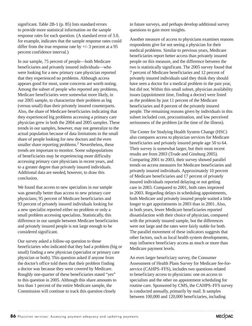significant. Table 2B-1 (p. 85) lists standard errors to provide more statistical information on the sample response rates for each question. (A standard error of 3.0, for example, indicates that the sample response rates could differ from the true response rate by  $+/- 3$  percent at a 95 percent confidence interval.)

In our sample, 75 percent of people—both Medicare beneficiaries and privately insured individuals—who were looking for a new primary care physician reported that they experienced no problems. Although access appears good for most, some concerns are worth noting. Among the subset of people who reported any problems, Medicare beneficiaries were somewhat more likely, in our 2005 sample, to characterize their problem as big (versus small) than their privately insured counterparts. Also, the share of Medicare beneficiaries indicating that they experienced big problems accessing a primary care physician grew in both the 2004 and 2005 samples. These trends in our samples, however, may not generalize to the actual population because of data limitations in the small share of people looking for new doctors and the even smaller share reporting problems. $<sup>2</sup>$  Nevertheless, these</sup> trends are important to monitor. Some subpopulations of beneficiaries may be experiencing more difficulty accessing primary care physicians in recent years, and to a greater degree than privately insured individuals. Additional data are needed, however, to draw this conclusion.

We found that access to new specialists in our sample was generally better than access to new primary care physicians; 95 percent of Medicare beneficiaries and 93 percent of privately insured individuals looking for a new specialist reported either no problem or only a small problem accessing specialists. Statistically, this difference in our sample between Medicare beneficiaries and privately insured people is not large enough to be considered significant.

Our survey asked a follow-up question to those beneficiaries who indicated that they had a problem (big or small) finding a new physician (specialist or primary care physician or both). This question asked if anyone from the doctor's office told them that their problem finding a doctor was because they were covered by Medicare. Roughly one-quarter of these beneficiaries stated "yes" to this question in 2005. Although this share amounts to less than 1 percent of the entire Medicare sample, the Commission will continue to track this question closely

in future surveys, and perhaps develop additional survey questions to gain more insights.

Another measure of access to physicians examines reasons respondents give for not seeing a physician for their medical problems. Similar to previous years, Medicare beneficiaries report better access than privately insured people on this measure, and the difference between the two is statistically significant. The 2005 survey found that 7 percent of Medicare beneficiaries and 12 percent of privately insured individuals said they think they should have seen a doctor for a medical problem in the past year, but did not. Within this small subset, physician availability issues (appointment time, finding a doctor) were listed as the problem by just 11 percent of the Medicare beneficiaries and 8 percent of the privately insured people. The remaining reasons given by individuals in this subset included cost, procrastination, and low perceived seriousness of the problem (at the time of the illness).

The Center for Studying Health System Change (HSC) also compares access to physician services for Medicare beneficiaries and privately insured people age 50 to 64. Their survey is somewhat larger, but their most recent results are from 2003 (Trude and Ginsburg 2005). Comparing 2001 to 2003, their survey showed parallel trends on access measures for Medicare beneficiaries and privately insured individuals. Approximately 10 percent of Medicare beneficiaries and 17 percent of privately insured individuals reported delaying or not getting care in 2003. Compared to 2001, both rates improved in 2003. Regarding delays in scheduling appointments, both Medicare and privately insured people waited a little longer to get appointments in 2003 than in 2001. Also, in both years, fewer Medicare beneficiaries reported dissatisfaction with their choice of physician, compared with the privately insured sample, but the differences were not large and the rates were fairly stable for both. The parallel movement of these indicators suggests that other factors, such as local health system developments, may influence beneficiary access as much or more than Medicare payment levels.

An even larger beneficiary survey, the Consumer Assessment of Health Plans Survey for Medicare fee-forservice (CAHPS–FFS), includes two questions related to beneficiary access to physicians: one on access to specialists and the other on appointment scheduling for routine care. Sponsored by CMS, the CAHPS–FFS survey is conducted annually, primarily by mail. It samples between 100,000 and 120,000 beneficiaries, including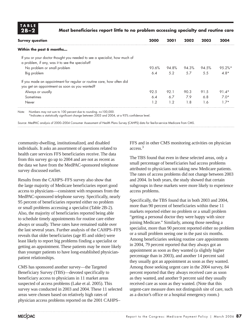**TABLE**

### **2B–2 Most beneficiaries report little to no problem accessing specialty and routine care**

| <b>Survey question</b>                                                                                                        | 2000  | 2001  | 2002  | 2003  | 2004        |
|-------------------------------------------------------------------------------------------------------------------------------|-------|-------|-------|-------|-------------|
| Within the past 6 months                                                                                                      |       |       |       |       |             |
| If you or your doctor thought you needed to see a specialist, how much of<br>a problem, if any, was it to see the specialist? |       |       |       |       |             |
| No problem or small problem                                                                                                   | 93.6% | 94.8% | 94.3% | 94.5% | $9.5.2\%$ * |
| Big problem                                                                                                                   | 6.4   | 5.2   | 5.7   | 5.5   | $4.8*$      |
| If you made an appointment for regular or routine care, how often did                                                         |       |       |       |       |             |
| you get an appointment as soon as you wanted?                                                                                 |       |       |       |       |             |
| Always or usually                                                                                                             | 92.5  | 92.1  | 90.3  | 91.5  | $91.4*$     |
| Sometimes                                                                                                                     | 6.4   | 6.7   | 7.9   | 6.8   | $7.0*$      |
| Never                                                                                                                         | 1.2   | 1.2   | 1.8   | 1.6   | $1.7*$      |

Note: Numbers may not sum to 100 percent due to rounding. n>100,000.

\*Indicates a statistically significant change between 2003 and 2004, at a 95% confidence level.

Source: MedPAC analysis of 2000–2004 Consumer Assessment of Health Plans Survey (CAHPS) data for fee-for-service Medicare from CMS.

community-dwelling, institutionalized, and disabled individuals. It asks an assortment of questions related to health care services FFS beneficiaries receive. The data from this survey go up to 2004 and are not as recent as the data we have from the MedPAC-sponsored telephone survey discussed earlier.

Results from the CAHPS–FFS survey also show that the large majority of Medicare beneficiaries report good access to physicians—consistent with responses from the MedPAC-sponsored telephone survey. Specifically, nearly 95 percent of beneficiaries reported either no problem or small problems accessing a specialist (Table 2B-2). Also, the majority of beneficiaries reported being able to schedule timely appointments for routine care either always or usually. These rates have remained stable over the last several years. Further analysis of the CAHPS–FFS reveals that older beneficiaries (age 85 and older) were least likely to report big problems finding a specialist or getting an appointment. These patients may be more likely than younger patients to have long-established physicianpatient relationships.

CMS has sponsored another survey—the Targeted Beneficiary Survey (TBS)—devoted specifically to beneficiary access to physicians in 11 market areas suspected of access problems (Lake et al. 2005). This survey was conducted in 2003 and 2004. These 11 selected areas were chosen based on relatively high rates of physician access problems reported on the 2001 CAHPS–

FFS and in other CMS monitoring activities on physician access.3

The TBS found that even in these selected areas, only a small percentage of beneficiaries had access problems attributed to physicians not taking new Medicare patients. The rates of access problems did not change between 2003 and 2004. In both years, the study showed that certain subgroups in these markets were more likely to experience access problems.

Specifically, the TBS found that in both 2003 and 2004, more than 90 percent of beneficiaries within these 11 markets reported either no problem or a small problem "getting a personal doctor they were happy with since joining Medicare." Similarly, among those needing a specialist, more than 90 percent reported either no problem or a small problem seeing one in the past six months. Among beneficiaries seeking routine care appointments in 2004, 79 percent reported that they always got an appointment as soon as they wanted (a slightly higher percentage than in 2003), and another 14 percent said they usually got an appointment as soon as they wanted. Among those seeking urgent care in the 2004 survey, 84 percent reported that they always received care as soon as they wanted, and another 9 percent said they usually received care as soon as they wanted. (Note that this urgent-care measure does not distinguish site of care, such as a doctor's office or a hospital emergency room.)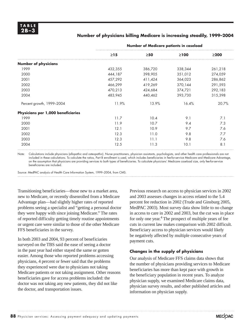### **Number of physicians billing Medicare is increasing steadily, 1999–2004**

|                                    | Number of Medicare patients in caseload |           |            |            |  |
|------------------------------------|-----------------------------------------|-----------|------------|------------|--|
|                                    | $\geq$ 15                               | $\geq 50$ | $\geq 100$ | $\geq$ 200 |  |
| <b>Number of physicians</b>        |                                         |           |            |            |  |
| 1999                               | 432,355                                 | 386,720   | 338,344    | 261,218    |  |
| 2000                               | 444,187                                 | 398,905   | 351,012    | 274,059    |  |
| 2001                               | 457,292                                 | 411,424   | 364,023    | 286,862    |  |
| 2002                               | 466,299                                 | 419,269   | 370,144    | 291,593    |  |
| 2003                               | 470,213                                 | 424,684   | 374,721    | 292,183    |  |
| 2004                               | 483,945                                 | 440,462   | 393,730    | 315,398    |  |
| Percent growth, 1999-2004          | 11.9%                                   | 13.9%     | 16.4%      | 20.7%      |  |
| Physicians per 1,000 beneficiaries |                                         |           |            |            |  |
| 1999                               | 11.7                                    | 10.4      | 9.1        | 7.1        |  |
| 2000                               | 11.9                                    | 10.7      | 9.4        | 7.3        |  |
| 2001                               | 12.1                                    | 10.9      | 9.7        | 7.6        |  |
| 2002                               | 12.3                                    | 11.0      | 9.8        | 7.7        |  |
| 2003                               | 12.3                                    | 11.1      | 9.8        | 7.6        |  |
| 2004                               | 12.5                                    | 11.3      | 10.1       | 8.1        |  |

Note: Calculations include physicians (allopathic and osteopathic). Nurse practitioners, physician assistants, psychologists, and other health care professionals are not included in these calculations. To calculate the ratios, Part B enrollment is used, which includes beneficiaries in fee-for-service Medicare and Medicare Advantage, on the assumption that physicians are providing services to both types of beneficiaries. To calculate physicians' Medicare caseload size, only fee-for-service beneficiaries are included.

Source: MedPAC analysis of Health Care Information System, 1999–2004, from CMS.

Transitioning beneficiaries—those new to a market area, new to Medicare, or recently disenrolled from a Medicare Advantage plan—had slightly higher rates of reported problems seeing a specialist and "getting a personal doctor they were happy with since joining Medicare." The rates of reported difficulty getting timely routine appointments or urgent care were similar to those of the other Medicare FFS beneficiaries in the survey.

In both 2003 and 2004, 93 percent of beneficiaries surveyed on the TBS said the ease of seeing a doctor in the past year had either stayed the same or gotten easier. Among those who reported problems accessing physicians, 4 percent or fewer said that the problems they experienced were due to physicians not taking Medicare patients or not taking assignment. Other reasons beneficiaries gave for access problems included: the doctor was not taking any new patients, they did not like the doctor, and transportation issues.

Previous research on access to physician services in 2002 and 2003 assesses changes in access related to the 5.4 percent fee reduction in 2002 (Trude and Ginsburg 2005, MedPAC 2003). Most survey data show little to no change in access to care in 2002 and 2003, but the cut was in place for only one year.<sup>4</sup> The prospect of multiple years of fee cuts in current law makes comparison with 2002 difficult. Beneficiary access to physician services would likely be negatively affected by multiple consecutive years of payment cuts.

### **Changes in the supply of physicians**

Our analysis of Medicare FFS claims data shows that the number of physicians providing services to Medicare beneficiaries has more than kept pace with growth in the beneficiary population in recent years. To analyze physician supply, we examined Medicare claims data, physician survey results, and other published articles and information on physician supply.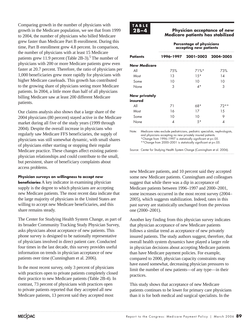Comparing growth in the number of physicians with growth in the Medicare population, we see that from 1999 to 2004, the number of physicians who billed Medicare grew faster than Medicare Part B enrollment. During this time, Part B enrollment grew 4.8 percent. In comparison, the number of physicians with at least 15 Medicare patients grew 11.9 percent (Table 2B-3).<sup>5</sup> The number of physicians with 200 or more Medicare patients grew even faster at 20.7 percent. Therefore, the ratio of physicians per 1,000 beneficiaries grew more rapidly for physicians with higher Medicare caseloads. This growth has contributed to the growing share of physicians seeing more Medicare patients. In 2004, a little more than half of all physicians billing Medicare saw at least 200 different Medicare patients.

Our claims analysis also shows that a large share of the 2004 physicians (80 percent) stayed active in the Medicare market during all five of the study years (1999 through 2004). Despite the overall increase in physicians who regularly saw Medicare FFS beneficiaries, the supply of physicians was still somewhat dynamic, with small shares of physicians either starting or stopping their regular Medicare practice. These changes affect existing patientphysician relationships and could contribute to the small, but persistent, share of beneficiary complaints about access problems.

### **Physician surveys on willingness to accept new**

**beneficiaries** A key indicator in examining physician supply is the degree to which physicians are accepting new Medicare patients. The most recent data indicate that the large majority of physicians in the United States are willing to accept new Medicare beneficiaries, and this share remains steady.

The Center for Studying Health System Change, as part of its broader Community Tracking Study Physician Survey, asks physicians about acceptance of new patients. This phone survey is designed to be nationally representative of physicians involved in direct patient care. Conducted four times in the last decade, this survey provides useful information on trends in physician acceptance of new patients over time (Cunningham et al. 2006).

In the most recent survey, only 3 percent of physicians with practices open to private patients completely closed their practice to new Medicare patients (Table 2B-4). In contrast, 73 percent of physicians with practices open to private patients reported that they accepted all new Medicare patients, 13 percent said they accepted most



### **Physician acceptance of new Medicare patients has stabilized**

|                      | <b>Percentage of physicians</b><br>accepting new patients |                               |      |  |  |  |
|----------------------|-----------------------------------------------------------|-------------------------------|------|--|--|--|
| <b>Patients</b>      |                                                           | 1996-1997 2001-2002 2004-2005 |      |  |  |  |
| <b>New Medicare</b>  |                                                           |                               |      |  |  |  |
| All                  | 75%                                                       | $71\%$ <sup>*</sup>           | 73%  |  |  |  |
| Most                 | 13                                                        | $1.5*$                        | 14   |  |  |  |
| Some                 | 10                                                        | 10                            | 10   |  |  |  |
| None                 | З                                                         | 4*                            | 3    |  |  |  |
| <b>New privately</b> |                                                           |                               |      |  |  |  |
| insured              |                                                           |                               |      |  |  |  |
| All                  | 71                                                        | 68*                           | 72** |  |  |  |
| Most                 | 16                                                        | 17                            | 1.5  |  |  |  |
| Some                 | 10                                                        | 10                            | 9    |  |  |  |
| None                 |                                                           | $5*$                          |      |  |  |  |

Note: Medicare rates exclude pediatricians, pediatric specialists, nephrologists, and physicians accepting no new privately insured patients. \*Change from 1996-1997 is statistically significant at p<.05. \*\*Change from 2000-2001 is statistically significant at p<.05.

Source: Center for Studying Health System Change (Cunningham et al. 2006).

new Medicare patients, and 10 percent said they accepted some new Medicare patients. Cunningham and colleagues suggest that while there was a dip in acceptance of Medicare patients between 1996–1997 and 2000–2001, some increases occurred in the most recent survey (2004– 2005), which suggests stabilization. Indeed, rates in this past survey are statistically unchanged from the previous one (2000–2001).

Another key finding from this physician survey indicates that physician acceptance of new Medicare patients follows a similar trend as acceptance of new privately insured patients. The study authors suggest, therefore, that overall health system dynamics have played a larger role in physician decisions about accepting Medicare patients than have Medicare payment policies. For example, compared to 2000, physician capacity constraints may have eased somewhat, decreasing physician pressures to limit the number of new patients—of any type—in their practices.

This study shows that acceptance of new Medicare patients continues to be lower for primary care physicians than it is for both medical and surgical specialists. In the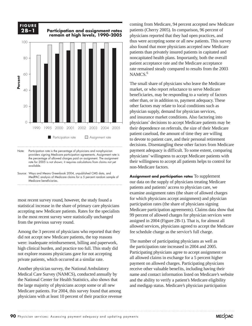

Note: Participation rate is the percentage of physicians and nonphysician providers signing Medicare participation agreements. Assignment rate is the percentage of allowed charges paid on assignment. The assignment rate for 2005 is not shown; it requires calculations from claims not yet available.

1990 1995 2000 2001 2002 2003 2004 2005

**Participation rate D** Assignment rate

 $\overline{O}$ 

Source: Ways and Means Greenbook 2004, unpublished CMS data, and MedPAC analysis of Medicare claims for a 5 percent random sample of Medicare beneficiaries.

most recent survey round, however, the study found a statistical increase in the share of primary care physicians accepting new Medicare patients. Rates for the specialists in the most recent survey were statistically unchanged from the previous survey round.

Among the 3 percent of physicians who reported that they did not accept new Medicare patients, the top reasons were: inadequate reimbursement, billing and paperwork, high clinical burden, and practice too full. This study did not explore reasons physicians gave for not accepting private patients, which occurred at a similar rate.

Another physician survey, the National Ambulatory Medical Care Survey (NAMCS), conducted annually by the National Center for Health Statistics, also shows that the large majority of physicians accept some or all new Medicare patients. For 2004, this survey found that among physicians with at least 10 percent of their practice revenue coming from Medicare, 94 percent accepted new Medicare patients (Cherry 2005). In comparison, 96 percent of physicians reported that they had open practices, and thus were accepting some or all new patients. This survey also found that more physicians accepted new Medicare patients than privately insured patients in capitated and noncapitated health plans. Importantly, both the overall patient acceptance rate and the Medicare acceptance rate remained steady compared to results from the 2003 NAMCS.<sup>6</sup>

The small share of physicians who leave the Medicare market, or who report reluctance to serve Medicare beneficiaries, may be responding to a variety of factors other than, or in addition to, payment adequacy. These other factors may relate to local conditions such as physician supply, demand for physician services, and insurance market conditions. Also factoring into physicians' decisions to accept Medicare patients may be their dependence on referrals, the size of their Medicare patient caseload, the amount of time they are willing to devote to patient care, and their personal retirement decisions. Disentangling these other factors from Medicare payment adequacy is difficult. To some extent, comparing physicians' willingness to accept Medicare patients with their willingness to accept all patients helps to control for non-Medicare factors.

**Assignment and participation rates** To supplement our data on the supply of physicians treating Medicare patients and patients' access to physician care, we examine assignment rates (the share of allowed charges for which physicians accept assignment) and physician participation rates (the share of physicians signing Medicare participation agreements). Claims data show that 99 percent of allowed charges for physician services were assigned in 2004 (Figure 2B-1). That is, for almost all allowed services, physicians agreed to accept the Medicare fee schedule charge as the service's full charge.

The number of participating physicians as well as the participation rate increased in 2004 and 2005. Participating physicians agree to accept assignment on all allowed claims in exchange for a 5 percent higher payment on allowed charges. Participating physicians receive other valuable benefits, including having their name and contact information listed on Medicare's website and the ability to verify a patient's Medicare eligibility and medigap status. Medicare's physician participation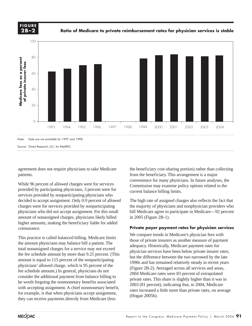

**Ratio of Medicare to private reimbursement rates for physician services is stable**



agreement does not require physicians to take Medicare patients.

While 96 percent of allowed charges were for services provided by participating physicians, 3 percent were for services provided by nonparticipating physicians who decided to accept assignment. Only 0.9 percent of allowed charges were for services provided by nonparticipating physicians who did not accept assignment. For this small amount of nonassigned charges, physicians likely billed higher amounts, making the beneficiary liable for added coinsurance.

This practice is called balanced billing. Medicare limits the amount physicians may balance bill a patient. The total nonassigned charges for a service may not exceed the fee schedule amount by more than 9.25 percent. (This amount is equal to 115 percent of the nonparticipating physicians' allowed charge, which is 95 percent of the fee schedule amount.) In general, physicians do not consider the additional payment from balance billing to be worth forgoing the nonmonetary benefits associated with accepting assignment. A chief nonmonetary benefit, for example, is that when physicians accept assignment, they can receive payments directly from Medicare (less

the beneficiary cost-sharing portion) rather than collecting from the beneficiary. This arrangement is a major convenience for many physicians. In future analyses, the Commission may examine policy options related to the current balance billing limits.

The high rate of assigned charges also reflects the fact that the majority of physicians and nonphysician providers who bill Medicare agree to participate in Medicare—92 percent in 2005 (Figure 2B-1).

### **Private payer payment rates for physician services**

We compare trends in Medicare's physician fees with those of private insurers as another measure of payment adequacy. Historically, Medicare payment rates for physician services have been below private insurer rates, but the difference between the two narrowed by the late 1990s and has remained relatively steady in recent years (Figure 2B-2). Averaged across all services and areas, 2004 Medicare rates were 83 percent of extrapolated private rates. This share is slightly higher than it was in 2003 (81 percent), indicating that, in 2004, Medicare rates increased a little more than private rates, on average (Hogan 2005b).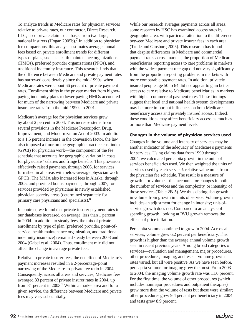To analyze trends in Medicare rates for physician services relative to private rates, our contractor, Direct Research, LLC, used private claims databases from two large, national insurers (Hogan 2005b).<sup>7</sup> In addition to physician fee comparisons, this analysis estimates average annual fees based on private enrollment trends for different types of plans, such as health maintenance organizations (HMOs), preferred provider organizations (PPOs), and traditional indemnity insurance. This research finds that the difference between Medicare and private payment rates has narrowed considerably since the mid-1990s, when Medicare rates were about 66 percent of private payment rates. Enrollment shifts in the private market from higherpaying indemnity plans to lower-paying HMOs accounted for much of the narrowing between Medicare and private insurance rates from the mid-1990s to 2001.

Medicare's average fee for physician services grew by about 2 percent in 2004. This increase stems from several provisions in the Medicare Prescription Drug, Improvement, and Modernization Act of 2003. In addition to a 1.5 percent increase in the conversion factor, the law also imposed a floor on the geographic practice cost index (GPCI) for physician work—the component of the fee schedule that accounts for geographic variation in costs for physicians' salaries and fringe benefits. This provision effectively raised payments, through 2006, for services furnished in all areas with below-average physician work GPCIs. The MMA also increased fees in Alaska, through 2005, and provided bonus payments, through 2007, for services provided by physicians in newly established physician scarcity areas (determined separately for primary care physicians and specialists).<sup>8</sup>

In contrast, we found that private insurer payment rates in our databases increased, on average, less than 1 percent in 2004. In addition to steady fees, the mix of private enrollment by type of plan (preferred provider, point-ofservice, health maintenance organization, and traditional indemnity insurance) remained steady between 2003 and 2004 (Gabel et al. 2004). Thus, enrollment mix did not affect the change in average private fees.

Relative to private insurer fees, the net effect of Medicare's payment increases resulted in a 2-percentage-point narrowing of the Medicare-to-private fee ratio in 2004. Consequently, across all areas and services, Medicare fees averaged 83 percent of private insurer rates in 2004, up from 81 percent in 2003.<sup>9</sup> Within a market area and for a given service, the difference between Medicare and private fees may vary substantially.

While our research averages payments across all areas, some research by HSC has examined access rates by geographic area, with particular attention to the difference between Medicare and private insurer fees in each area (Trude and Ginsburg 2005). This research has found that despite differences in Medicare and commercial payment rates across markets, the proportion of Medicare beneficiaries reporting access to care problems in markets with the widest payment rate gap did not vary significantly from the proportion reporting problems in markets with more comparable payment rates. In addition, privately insured people age 50 to 64 did not appear to gain better access to care relative to Medicare beneficiaries in markets with higher commercial payment rates. These findings suggest that local and national health system developments may be more important influences on both Medicare beneficiary access and privately insured access. Indeed, these conditions may affect beneficiary access as much as or more than Medicare payment levels.

### **Changes in the volume of physician services used**

Changes in the volume and intensity of services may be another indicator of the adequacy of Medicare's payments for services. Using claims data from 1999 through 2004, we calculated per capita growth in the units of services beneficiaries used. We then weighted the units of services used by each service's relative value units from the physician fee schedule. The result is a measure of growth—or volume—that accounts for changes in both the number of services and the complexity, or intensity, of those services (Table 2B-5). We thus distinguish growth in volume from growth in units of service: Volume growth includes an adjustment for change in intensity; unit-ofservice growth does not. Compared to an analysis of spending growth, looking at RVU growth removes the effects of price inflation.

Per capita volume continued to grow in 2004. Across all services, volume grew 6.2 percent per beneficiary. This growth is higher than the average annual volume growth seen in recent previous years. Among broad categories of services—evaluation and management, major procedures, other procedures, imaging, and tests—volume growth rates varied, but all were positive. As we have seen before, per capita volume for imaging grew the most. From 2003 to 2004, the imaging volume growth rate was 11.0 percent. For the first time, the volume of other procedures (which includes nonmajor procedures and outpatient therapies) grew more than the volume of tests but these were similar; other procedures grew 9.4 percent per beneficiary in 2004 and tests grew 8.9 percent.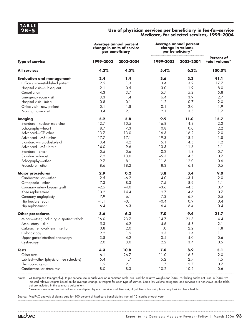### **2B–5 Use of physician services per beneficiary in fee-for-service Medicare, for selected services, 1999–2004**

|                                         | <b>Average annual percent</b><br>change in units of service<br>per beneficiary |           | <b>Average annual percent</b><br>change in volume<br>per beneficiary* |           |                                    |
|-----------------------------------------|--------------------------------------------------------------------------------|-----------|-----------------------------------------------------------------------|-----------|------------------------------------|
| <b>Type of service</b>                  | 1999-2003                                                                      | 2003-2004 | 1999-2003                                                             | 2003-2004 | <b>Percent of</b><br>total volume* |
| <b>All services</b>                     | 4.2%                                                                           | 4.5%      | 5.4%                                                                  | 6.2%      | 100.0%                             |
| <b>Evaluation and management</b>        | 2.4                                                                            | 1.4       | 3.6                                                                   | 3.3       | 41.1                               |
| Office visit-established patient        | 2.5                                                                            | 1.3       | 3.4                                                                   | 3.2       | 17.7                               |
| Hospital visit-subsequent               | 2.1                                                                            | 0.5       | 3.0                                                                   | 1.9       | 8.0                                |
| Consultation                            | 4.3                                                                            | 3.7       | 5.7                                                                   | 5.2       | 5.8                                |
| Emergency room visit                    | 3.3                                                                            | 1.4       | 6.4                                                                   | 3.9       | 2.7                                |
| Hospital visit-initial                  | 0.8                                                                            | 0.1       | 1.2                                                                   | 0.7       | 2.0                                |
| Office visit-new patient                | 0.1                                                                            | 1.8       | 0.1                                                                   | 2.0       | 1.9                                |
| Nursing home visit                      | 0.4                                                                            | 2.1       | 2.1                                                                   | 3.5       | 1.7                                |
| <b>Imaging</b>                          | 5.2                                                                            | 5.8       | 9.9                                                                   | 11.0      | 15.7                               |
| Standard-nuclear medicine               | 12.7                                                                           | 10.5      | 16.8                                                                  | 14.3      | 2.3                                |
| Echography-heart                        | 8.7                                                                            | 7.3       | 10.8                                                                  | 10.0      | 2.2                                |
| Advanced-CT: other                      | 13.7                                                                           | 13.0      | 16.3                                                                  | 16.2      | 2.0                                |
| Advanced-MRI: other                     | 17.7                                                                           | 17.1      | 19.3                                                                  | 18.2      | 1.8                                |
| Standard-musculoskeletal                | 3.4                                                                            | 4.2       | 5.1                                                                   | 4.5       | 1.2                                |
| Advanced-MRI: brain                     | 14.0                                                                           | 9.6       | 13.3                                                                  | 11.6      | 1.1                                |
| Standard-chest                          | 0.5                                                                            | $-0.6$    | $-0.2$                                                                | $-1.3$    | 0.7                                |
| Standard-breast                         | 7.2                                                                            | 13.0      | $-5.3$                                                                | 4.5       | 0.7                                |
| Echography-other                        | 9.7                                                                            | 8.1       | 11.6                                                                  | 12.0      | 0.6                                |
| Procedure-other                         | 8.6                                                                            | 18.2      | 8.3                                                                   | 16.1      | 0.5                                |
| <b>Major procedures</b>                 | 2.9                                                                            | 0.2       | 3.8                                                                   | 3,4       | 9.0                                |
| Cardiovascular-other                    | 2.5                                                                            | $-6.2$    | 4.0                                                                   | $-3.1$    | 2.0                                |
| Orthopedic-other                        | 7.3                                                                            | 8.3       | 7.5                                                                   | 8.9       | 1.1                                |
| Coronary artery bypass graft            | $-2.5$                                                                         | $-4.0$    | $-3.6$                                                                | $-4.5$    | 0.7                                |
| Knee replacement                        | 10.2                                                                           | 14.4      | 9.7                                                                   | 14.6      | 0.7                                |
| Coronary angioplasty                    | 7.9                                                                            | 6.1       | 7.3                                                                   | 6.7       | 0.5                                |
| Hip fracture repair                     | $-1.1$                                                                         | $-0.1$    | $-0.4$                                                                | 0.9       | 0.4                                |
| Hip replacement                         | 6.4                                                                            | 6.3       | 6.4                                                                   | 6.4       | 0.4                                |
| <b>Other procedures</b>                 | 8.6                                                                            | 6.3       | 7.0                                                                   | 9.4       | 21.7                               |
| Minor-other, including outpatient rehab | 16.0                                                                           | 23.7      | 14.7                                                                  | 21.3      | 4.4                                |
| Ambulatory—skin                         | 5.3                                                                            | 4.2       | 4.6                                                                   | 5.8       | 2.1                                |
| Cataract removal/lens insertion         | 0.8                                                                            | 2.0       | 1.0                                                                   | 2.2       | 1.8                                |
| Colonoscopy                             | 9.2                                                                            | 1.9       | 9.3                                                                   | 1.4       | 1.1                                |
| Upper gastrointestinal endoscopy        | 3.8                                                                            | 4.2       | 3.4                                                                   | 4.0       | 0.6                                |
| Cystoscopy                              | 2.0                                                                            | 3.0       | 2.2                                                                   | 3.4       | 0.5                                |
| <b>Tests</b>                            | 4.3                                                                            | 10.8      | 7.0                                                                   | 8.9       | 5.1                                |
| Other tests                             | 6.1                                                                            | 26.7      | 11.0                                                                  | 16.8      | 2.0                                |
| Lab test-other (physician fee schedule) | 5.4                                                                            | $1.7$     | 5.2                                                                   | 2.7       | 1.5                                |
| Electrocardiogram                       | 1.5                                                                            | 2.1       | 1.7                                                                   | 2.7       | 0.7                                |
| Cardiovascular stress test              | 8.0                                                                            | 8.3       | 10.2                                                                  | 10.2      | 0.6                                |

Note: CT (computed tomography). To put service use in each year on a common scale, we used the relative weights for 2004. For billing codes not used in 2004, we imputed relative weights based on the average change in weights for each type of service. Some low-volume categories and services are not shown on the table, but are included in the summary calculations.

\*Volume is measured as units of service multiplied by each service's relative weight (relative value units) from the physician fee schedule.

Source: MedPAC analysis of claims data for 100 percent of Medicare beneficiaries from all 12 months of each year.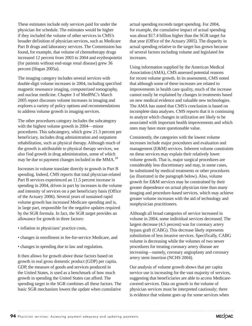These estimates include only services paid for under the physician fee schedule. The estimates would be higher if they included the volume of other services in CMS's broader definition of physician services, such as Medicare Part B drugs and laboratory services. The Commission has found, for example, that volume of chemotherapy drugs increased 12 percent from 2003 to 2004 and erythropoietin (for patients without end-stage renal disease) grew 36 percent (Hogan 2005a).

The imaging category includes several services with double-digit volume increases in 2004, including specified magnetic resonance imaging, computerized tomography, and nuclear medicine. Chapter 3 of MedPAC's March 2005 report discusses volume increases in imaging and explores a variety of policy options and recommendations to address volume growth in imaging services.

The other procedures category includes the subcategory with the highest volume growth in 2004—minor procedures. This subcategory, which grew 21.3 percent per beneficiary, includes drug administration and outpatient rehabilitation, such as physical therapy. Although much of the growth is attributable to physical therapy services, we also find growth in drug administration, some of which may be due to payment changes included in the MMA.<sup>10</sup>

Increases in volume translate directly to growth in Part B spending. Indeed, CMS reports that total physician-related Part B services experienced an 11.5 percent increase in spending in 2004, driven in part by increases in the volume and intensity of services on a per beneficiary basis (Office of the Actuary 2006). Several years of sustained rapid volume growth has increased Medicare spending and is, in large part, responsible for the negative updates required by the SGR formula. In fact, the SGR target provides an allowance for growth in three factors:

- inflation in physicians' practice costs,
- changes in enrollment in fee-for-service Medicare, and
- changes in spending due to law and regulation.

It then allows for growth above those factors based on growth in real gross domestic product (GDP) per capita. GDP, the measure of goods and services produced in the United States, is used as a benchmark of how much growth in spending the United States can afford. The spending target in the SGR combines all these factors. The basic SGR mechanism lowers the update when cumulative

actual spending exceeds target spending. For 2004, for example, the cumulative impact of actual spending was about \$17.4 billion higher than the SGR target for that year (Office of the Actuary 2005). The disparity in actual spending relative to the target has grown because of several factors including volume and legislated fee increases.

Using information supplied by the American Medical Association (AMA), CMS assessed potential reasons for recent volume growth. In its assessment, CMS noted that although some of these increases are related to improvements in health care quality, much of the increase cannot easily be explained by changes in treatments based on new medical evidence and valuable new technologies. The AMA has stated that CMS's conclusion is based on incomplete data analyses. CMS reports that it is continuing to analyze which changes in utilization are likely to be associated with important health improvements and which ones may have more questionable value.

Consistently, the categories with the lowest volume increases include major procedures and evaluation and management (E&M) services. Inherent volume constraints on these services may explain their relatively lower volume growth. That is, major surgical procedures are considerably less discretionary and may, in some cases, be substituted by medical treatments or other procedures (as illustrated in the paragraph below). Also, volume growth for E&M services may be constrained by their greater dependence on actual physician time than many imaging and procedure-based services, which may achieve greater volume increases with the aid of technology and nonphysician practitioners.

Although all broad categories of service increased in volume in 2004, some individual services decreased. The largest decrease (4.5 percent) was for coronary artery bypass graft (CABG). This decrease likely represents substitution of less invasive services. Specifically, CABG volume is decreasing while the volumes of two newer procedures for treating coronary artery disease are increasing—namely, coronary angioplasty and coronary artery stent insertion (NCHS 2004).

Our analysis of volume growth shows that per capita service use is increasing for the vast majority of services, suggesting that beneficiaries are able to access Medicarecovered services. Data on growth in the volume of physician services must be interpreted cautiously; there is evidence that volume goes up for some services when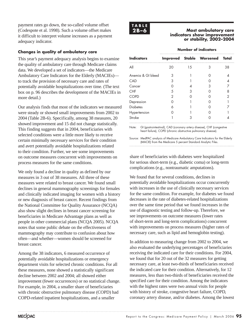payment rates go down, the so-called volume offset (Codespote et al. 1998). Such a volume offset makes it difficult to interpret volume increases as a payment adequacy indicator.

### **Changes in quality of ambulatory care**

This year's payment adequacy analysis begins to examine the quality of ambulatory care through Medicare claims data. We developed a set of indicators—the Medicare Ambulatory Care Indicators for the Elderly (MACIEs) to track the provision of necessary care and rates of potentially avoidable hospitalizations over time. (The text box on p. 96 describes the development of the MACIEs in more detail.)

Our analysis finds that most of the indicators we measured were steady or showed small improvements from 2002 to 2004 (Table 2B-6). Specifically, among 38 measures, 20 showed improvement and 15 did not change statistically. This finding suggests that in 2004, beneficiaries with selected conditions were a little more likely to receive certain minimally necessary services for their condition and avert potentially avoidable hospitalizations related to their condition. Further, we see some improvements on outcome measures concurrent with improvements on process measures for the same conditions.

We only found a decline in quality as defined by our measures in 3 out of 38 measures. All three of these measures were related to breast cancer. We found small declines in general mammography screenings for females and clinically indicated imaging for women with a history or new diagnosis of breast cancer. Recent findings from the National Committee for Quality Assurance (NCQA) also show slight declines in breast cancer screening for beneficiaries in Medicare Advantage plans as well as people in other commercial plans (NCQA 2005). NCQA notes that some public debate on the effectiveness of mammography may contribute to confusion about how often—and whether—women should be screened for breast cancer.

Among the 38 indicators, 6 measured occurrence of potentially avoidable hospitalizations or emergency department visits for selected chronic conditions. For all these measures, none showed a statistically significant decline between 2002 and 2004; all showed either improvement (fewer occurrences) or no statistical change. For example, in 2004, a smaller share of beneficiaries with chronic obstructive pulmonary disease (COPD) had COPD-related inpatient hospitalizations, and a smaller



**2B–6 Most ambulatory care indicators show improvement or stability, 2002–2004**

### **Number of indicators**

| <b>Indicators</b> |     | <b>Improved Stable Worsened Total</b> |    |
|-------------------|-----|---------------------------------------|----|
| All               | 1.5 |                                       | 38 |
| Anemia & GI bleed |     |                                       |    |
| CAD               |     |                                       |    |
| Cancer            |     |                                       |    |
| <b>CHF</b>        |     |                                       |    |
| <b>COPD</b>       |     |                                       |    |
| Depression        |     |                                       |    |
| <b>Diabetes</b>   |     |                                       |    |
| Hypertension      |     |                                       |    |
| Stroke            |     |                                       |    |

Note: GI (gastrointestinal), CAD (coronary artery disease), CHF (congestive heart failure), COPD (chronic obstructive pulmonary disease).

Source: MedPAC analysis of Medicare Ambulatory Care Indicators for the Elderly (MACIE) from the Medicare 5 percent Standard Analytic Files.

share of beneficiaries with diabetes were hospitalized for serious short-term (e.g., diabetic coma) or long-term complications (e.g., nontraumatic amputations).

We found that for several conditions, declines in potentially avoidable hospitalizations occur concurrently with increases in the use of clinically necessary services for the same condition. For example, for diabetes we found decreases in the rate of diabetes-related hospitalizations over the same time period that we found increases in the use of diagnostic testing and follow-up. Therefore, we see improvements on outcome measures (lower rates of short-term and long-term complications) concurrent with improvements on process measures (higher rates of necessary care, such as lipid and hemoglobin testing).

In addition to measuring change from 2002 to 2004, we also evaluated the underlying percentages of beneficiaries receiving the indicated care for their conditions. For 2004, we found that for 20 out of the 32 measures for getting necessary care, at least two-thirds of beneficiaries received the indicated care for their condition. Alternatively, for 12 measures, less than two-thirds of beneficiaries received the specified care for their condition. Among the indicators with the highest rates were two annual visits for people with history of stroke, congestive heart failure, COPD, coronary artery disease, and/or diabetes. Among the lowest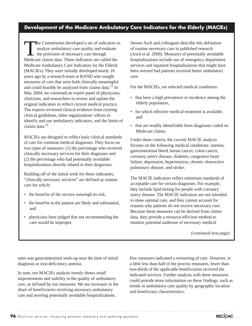### **Development of the Medicare Ambulatory Care Indicators for the Elderly (MACIEs)**

The Commission developed a set of indicators to analyze ambulatory care quality and evaluate  $\overline{\phantom{a}}$  the provision of necessary care through Medicare claims data. These indicators are called the Medicare Ambulatory Care Indicators for the Elderly (MACIEs). They were initially developed nearly 10 years ago by a research team at RAND who sought measures of care that were both clinically meaningful and could feasibly be analyzed from claims data.<sup>11</sup> In May 2004, we convened an expert panel of physicians, clinicians, and researchers to review and update the original indicators to reflect current medical practice. The experts reviewed clinical evidence from existing clinical guidelines, other organizations' efforts to identify and use ambulatory indicators, and the limits of claims data.12

MACIEs are designed to reflect basic clinical standards of care for common medical diagnoses. They focus on two types of measures: (1) the percentage who received clinically necessary services for their diagnoses and (2) the percentage who had potentially avoidable hospitalizations directly related to their diagnoses.

Building off of the initial work for these indicators, "clinically necessary services" are defined as routine care for which:

- the benefits of the service outweigh its risk,
- the benefits to the patient are likely and substantial, and
- physicians have judged that not recommending the care would be improper.

Steven Asch and colleagues describe this definition of routine necessary care in published research (Asch et al. 2000). Measures of potentially avoidable hospitalizations include use of emergency department services and inpatient hospitalizations that might have been averted had patients received better ambulatory care.

For the MACIEs, we selected medical conditions:

- that have a high prevalence or incidence among the elderly population,
- for which effective medical treatment is available, and
- that are readily identifiable from diagnoses coded on Medicare claims.

Under these criteria, the current MACIE analysis focuses on the following medical conditions: anemia, gastrointestinal bleed, breast cancer, colon cancer, coronary artery disease, diabetes, congestive heart failure, depression, hypertension, chronic obstructive pulmonary disease, and stroke.

The MACIE indicators reflect minimum standards of acceptable care for certain diagnoses. For example, they include lipid testing for people with coronary artery disease. The MACIE indicators are not intended to show optimal care, and they cannot account for reasons why patients do not receive necessary care. Because these measures can be derived from claims data, they provide a resource-efficient method to monitor potential underuse of necessary medical

*(continued next page)*

rates was gastrointestinal work-up near the time of initial diagnosis or iron deficiency anemia.

In sum, our MACIEs analysis mostly shows small improvements and stability in the quality of ambulatory care, as defined by our measures. We see increases in the share of beneficiaries receiving necessary ambulatory care and averting potentially avoidable hospitalizations.

Few measures indicated a worsening of care. However, in a little less than half of the process measures, fewer than two-thirds of the applicable beneficiaries received the indicated services. Further analysis with these measures could provide more information on these findings, such as trends in ambulatory care quality by geographic location and beneficiary characteristics.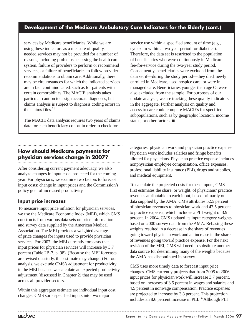### **Development of the Medicare Ambulatory Care Indicators for the Elderly (cont.)**

services by Medicare beneficiaries. While we are using these indicators as a measure of quality, needed services may not be provided for a number of reasons, including problems accessing the health care system, failure of providers to perform or recommend services, or failure of beneficiaries to follow provider recommendations to obtain care. Additionally, there may be circumstances for which the indicated services are in fact contraindicated, such as for patients with certain comorbidities. The MACIE analysis takes particular caution to assign accurate diagnoses, but claims analysis is subject to diagnosis coding errors in the claims files.13

The MACIE data analysis requires two years of claims data for each beneficiary cohort in order to check for

service use within a specified amount of time (e.g., eye exam within a two-year period for diabetics). Therefore, the data set is restricted to the population of beneficiaries who were continuously in Medicare fee-for-service during the two-year study period. Consequently, beneficiaries were excluded from the data set if—during the study period—they died, newly enrolled in Medicare, used hospice care, or were in managed care. Beneficiaries younger than age 65 were also excluded from the sample. For purposes of our update analysis, we are tracking these quality indicators in the aggregate. Further analysis on quality and access to care could compare MACIEs for specified subpopulations, such as by geographic location, income status, or other factors.  $\blacksquare$ 

### **How should Medicare payments for physician services change in 2007?**

After considering current payment adequacy, we also analyze changes in input costs projected for the coming year. For physicians, we examine two factors to forecast input costs: change in input prices and the Commission's policy goal of increased productivity.

### **Input price increases**

To measure input price inflation for physician services, we use the Medicare Economic Index (MEI), which CMS constructs from various data sets on price information and survey data supplied by the American Medical Association. The MEI provides a weighted average of price changes for inputs used to provide physician services. For 2007, the MEI currently forecasts that input prices for physician services will increase by 3.7 percent (Table 2B-7, p. 98). (Because the MEI forecasts are revised quarterly, this estimate may change.) For our analysis, we exclude CMS's adjustment for productivity in the MEI because we calculate an expected productivity adjustment (discussed in Chapter 2) that may be used across all provider sectors.

Within this aggregate estimate are individual input cost changes. CMS sorts specified inputs into two major

categories: physician work and physician practice expense. Physician work includes salaries and fringe benefits allotted for physicians. Physician practice expense includes nonphysician employee compensation, office expenses, professional liability insurance (PLI), drugs and supplies, and medical equipment.

To calculate the projected costs for these inputs, CMS first estimates the share, or weight, of physicians' practice revenues attributable to each input, based primarily on data supplied by the AMA. CMS attributes 52.5 percent of physician revenues to physician work and 47.5 percent to practice expense, which includes a PLI weight of 3.9 percent. In 2004, CMS updated its input category weights based on 2000 survey data from the AMA. Rebasing these weights resulted in a decrease in the share of revenues going toward physician work and an increase in the share of revenues going toward practice expense. For the next revision of the MEI, CMS will need to substitute another data source for determining many of the weights because the AMA has discontinued its survey.

CMS uses more timely data to forecast input price changes. CMS currently projects that from 2005 to 2006, input prices for physician work will increase 3.7 percent, based on increases of 3.5 percent in wages and salaries and 4.5 percent in nonwage compensation. Practice expenses are projected to increase by 3.8 percent. This projection includes an 8.6 percent increase in PLI. $^{14}$  Although PLI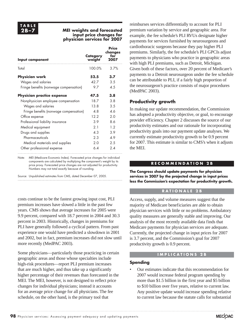### **2B–7 MEI weights and forecasted input price changes for physician services for 2007**

| Input component                                              | Category<br>weight | Price<br>changes<br>for<br>2007 |
|--------------------------------------------------------------|--------------------|---------------------------------|
| Total                                                        | 100.0%             | 3.7%                            |
| <b>Physician work</b>                                        | 52.5               | 3.7                             |
| Wages and salaries<br>Fringe benefits (nonwage compensation) | 42.7<br>9.7        | 3.5<br>4.5                      |
| <b>Physician practice expense</b>                            | 47.5               | 3.8                             |
| Nonphysician employee compensation                           | 18.7               | 3.8                             |
| Wages and salaries                                           | 13.8               | 3.5                             |
| Fringe benefits (nonwage compensation)                       | 4.8                | 4.6                             |
| Office expense                                               | 12.2               | 2.0                             |
| Professional liability insurance                             | 3.9                | 8.6                             |
| Medical equipment                                            | 2.1                | 12                              |
| Drugs and supplies                                           | 4.3                | 3.9                             |
| Pharmaceuticals                                              | 2.3                | 4.9                             |
| Medical materials and supplies                               | 2.0                | 2.5                             |
| Other professional expense                                   | 6.4                | 24                              |

Note: MEI (Medicare Economic Index). Forecasted price changes for individual components are calculated by multiplying the component's weight by its price proxy. Forecasted price changes are not adjusted for productivity. Numbers may not total exactly because of rounding.

Source: Unpublished estimates from CMS, dated December 07, 2005.

costs continue to be the fastest growing input cost, PLI premium increases have slowed a little in the past few years. CMS shows that average increases for 2005 were 9.9 percent, compared with 18.7 percent in 2004 and 30.3 percent in 2003. Historically, changes in premiums for PLI have generally followed a cyclical pattern. From past experience one would have predicted a slowdown in 2001 and 2002, but in fact, premium increases did not slow until more recently (MedPAC 2003).

Some physicians—particularly those practicing in certain geographic areas and those whose specialties include high-risk procedures—report PLI premium increases that are much higher, and thus take up a significantly higher percentage of their revenues than forecasted in the MEI. The MEI, however, is not designed to reflect price changes for individual physicians; instead it accounts for an average price change for all physicians. The fee schedule, on the other hand, is the primary tool that

reimburses services differentially to account for PLI premium variation by service and geographic area. For example, the fee schedule's PLI RVUs designate higher payments for services furnished by neurosurgeons and cardiothoracic surgeons because they pay higher PLI premiums. Similarly, the fee schedule's PLI GPCIs adjust payments to physicians who practice in geographic areas with high PLI premiums, such as Detroit, Michigan. Given both of these factors, over 20 percent of Medicare's payments to a Detroit neurosurgeon under the fee schedule can be attributable to PLI, if a fairly high proportion of the neurosurgeon's practice consists of major procedures (MedPAC 2003).

### **Productivity growth**

In making our update recommendation, the Commission has adopted a productivity objective, or goal, to encourage provider efficiency. Chapter 2 discusses the source of our productivity estimates and our rationale for incorporating productivity goals into our payment update analyses. We currently estimate productivity growth to be 0.9 percent for 2007. This estimate is similar to CMS's when it adjusts the MEI.

### **RECOMMENDATION 2B**

**The Congress should update payments for physician services in 2007 by the projected change in input prices less the Commission's expectation for productivity growth.**

### **R A T I O N A L E 2 B**

Access, supply, and volume measures suggest that the majority of Medicare beneficiaries are able to obtain physician services with little or no problems. Ambulatory quality measures are generally stable and improving. Our analysis of the most recently available data finds that Medicare payments for physician services are adequate. Currently, the projected change in input prices for 2007 is 3.7 percent, and the Commission's goal for 2007 productivity growth is 0.9 percent.

### **IMPLICATIONS 2B**

### **Spending**

• Our estimates indicate that this recommendation for 2007 would increase federal program spending by more than \$1.5 billion in the first year and \$5 billion to \$10 billion over five years, relative to current law. Any positive update would increase spending relative to current law because the statute calls for substantial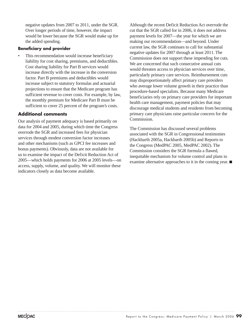negative updates from 2007 to 2011, under the SGR. Over longer periods of time, however, the impact would be lower because the SGR would make up for the added spending.

### **Beneficiary and provider**

This recommendation would increase beneficiary liability for cost sharing, premiums, and deductibles. Cost sharing liability for Part B services would increase directly with the increase in the conversion factor. Part B premiums and deductibles would increase subject to statutory formulas and actuarial projections to ensure that the Medicare program has sufficient revenue to cover costs. For example, by law, the monthly premium for Medicare Part B must be sufficient to cover 25 percent of the program's costs.

### **Additional comments**

Our analysis of payment adequacy is based primarily on data for 2004 and 2005, during which time the Congress overrode the SGR and increased fees for physician services through modest conversion factor increases and other mechanisms (such as GPCI fee increases and bonus payments). Obviously, data are not available for us to examine the impact of the Deficit Reduction Act of 2005—which holds payments for 2006 at 2005 levels—on access, supply, volume, and quality. We will monitor these indicators closely as data become available.

Although the recent Deficit Reduction Act overrode the cut that the SGR called for in 2006, it does not address payment levels for 2007—the year for which we are making our recommendation—and beyond. Under current law, the SGR continues to call for substantial negative updates for 2007 through at least 2011. The Commission does not support these impending fee cuts. We are concerned that such consecutive annual cuts would threaten access to physician services over time, particularly primary care services. Reimbursement cuts may disproportionately affect primary care providers who average lower volume growth in their practice than procedure-based specialists. Because many Medicare beneficiaries rely on primary care providers for important health care management, payment policies that may discourage medical students and residents from becoming primary care physicians raise particular concern for the Commission.

The Commission has discussed several problems associated with the SGR in Congressional testimonies (Hackbarth 2005a, Hackbarth 2005b) and Reports to the Congress (MedPAC 2005, MedPAC 2002). The Commission considers the SGR formula a flawed, inequitable mechanism for volume control and plans to examine alternative approaches to it in the coming year.  $\blacksquare$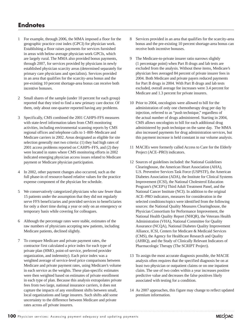### **Endnotes**

- 1 For example, through 2006, the MMA imposed a floor for the geographic practice cost index (GPCI) for physician work. Establishing a floor raises payments for services furnished in areas with below-average physician work GPCIs, which are largely rural. The MMA also provided bonus payments, through 2007, for services provided by physicians in newly established physician scarcity areas (determined separately for primary care physicians and specialists). Services provided in an area that qualifies for the scarcity-area bonus and the pre-existing 10 percent shortage-area bonus can receive both incentive bonuses.
- 2 Small shares of the sample (under 10 percent for each group) reported that they tried to find a new primary care doctor. Of them, only about one-quarter reported having any problems.
- 3 Specifically, CMS combined the 2001 CAHPS-FFS measures with state-level information taken from CMS monitoring activities, including environmental scanning reports by CMS regional offices and telephone calls to 1–800–Medicare and Medicare carriers in 2002. Areas designated as eligible for site selection generally met two criteria: (1) they had high rates of 2001 access problems reported on CAHPS–FFS, and (2) they were located in states where CMS monitoring efforts in 2002 indicated emerging physician access issues related to Medicare payment or Medicare physician participation.
- 4 In 2002, other payment changes also occurred, such as the full phase-in of resource-based relative values for the practice expense component of the physician fee schedule.
- 5 We conservatively categorized physicians who saw fewer than 15 patients under the assumption that they did not regularly serve FFS beneficiaries and provided services to beneficiaries for only a short time during a year or only on an emergency or temporary basis while covering for colleagues.
- 6 Although the percentage rates were stable, estimates of the raw numbers of physicians accepting new patients, including Medicare patients, declined slightly.
- 7 To compare Medicare and private payment rates, the contractor first calculated a price index for each type of private plan (HMO, point-of-service, preferred provider organization, and indemnity). Each price index was a weighted average of service-level price comparisons between Medicare and private payment rates, using Medicare's volume in each service as the weights. These plan-specific estimates were then weighted based on estimates of private enrollment in each type of plan. Because this analysis extrapolates private fees from two large, national insurance carriers, it does not capture the impacts of any enrollment shifts between small, local organizations and large insurers. Such shifts add some uncertainty to the difference between Medicare and private rates across *all* private insurers.
- 8 Services provided in an area that qualifies for the scarcity-area bonus and the pre-existing 10 percent shortage-area bonus can receive both incentive bonuses.
- 9 The Medicare-to-private insurer ratio narrows slightly (1 percentage point) when Part B drugs and lab tests are excluded from the analysis. Without these items, Medicare's physician fees averaged 84 percent of private insurer fees in 2004. Both Medicare and private payers reduced payments for Part B drugs in 2004. With Part B drugs and lab tests excluded, overall average fee increases were 3.4 percent for Medicare and 1.3 percent for private insurers.
- 10 Prior to 2004, oncologists were allowed to bill for the administration of only one chemotherapy drug per day by injection, referred to as "push technique," regardless of the actual number of drugs administered. Starting in 2004, CMS allows oncologists to bill for each additional drug administered by push technique on the same day. The MMA also increased payments for drug administration services, but this payment increase is held constant in our volume analysis.
- 11 MACIEs were formerly called Access to Care for the Elderly Project (ACE–PRO) indicators.
- 12 Sources of guidelines included: the National Guidelines Clearinghouse, the American Heart Association (AHA), U.S. Preventive Services Task Force (USPSTF), the American Diabetes Association (ADA), the Institute for Clinical Systems Improvement (ICSI), the National Cholesterol Education Program's (NCEP's) Third Adult Treatment Panel, and the National Cancer Institute (NCI). In addition to the original ACE–PRO indicators, measures for consideration in the selected conditions/topics were identified from the following sources: the National Quality Measures Clearinghouse, the Physician Consortium for Performance Improvement, the National Health Quality Report (NHQR), the Veterans Health Administration (VHA), National Committee for Quality Assurance (NCQA), National Diabetes Quality Improvement Alliance, ICSI, Centers for Medicare & Medicaid Services (CMS), the Agency for Healthcare Research and Quality (AHRQ), and the Study of Clinically Relevant Indicators of Pharmacologic Therapy (The SCRIPT Project).
- 13 To assign the most accurate diagnosis possible, the MACIE analysis often requires that the specified diagnosis be on at least two physician or outpatient claims or on one inpatient claim. The use of two codes within a year increases positive predictive value and decreases the false positives likely associated with testing for a condition.
- 14 As 2007 approaches, this figure may change to reflect updated premium information.